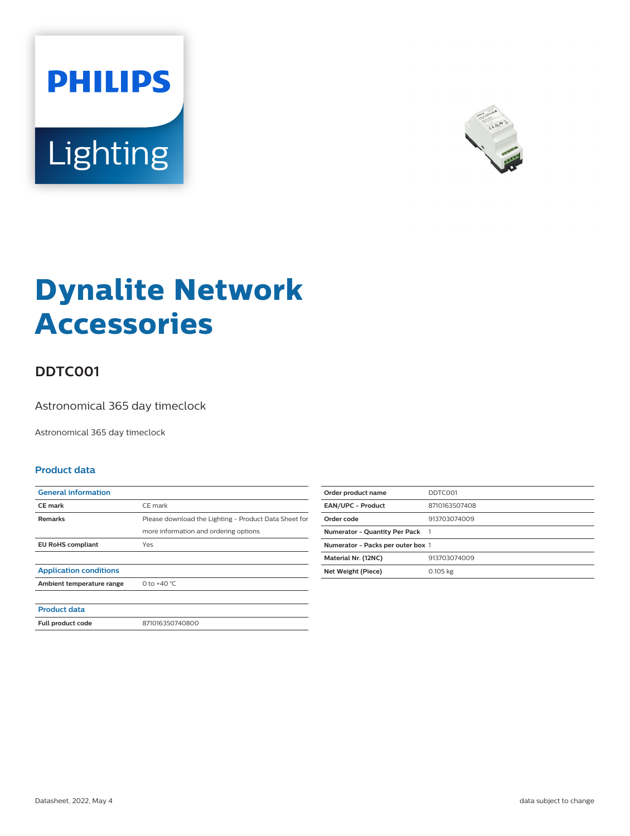



# **Dynalite Network Accessories**

## **DDTC001**

Astronomical 365 day timeclock

Astronomical 365 day timeclock

#### **Product data**

| <b>General information</b>    |                                                       |
|-------------------------------|-------------------------------------------------------|
| <b>CE</b> mark                | CE mark                                               |
| <b>Remarks</b>                | Please download the Lighting - Product Data Sheet for |
|                               | more information and ordering options                 |
| <b>EU RoHS compliant</b>      | Yes                                                   |
|                               |                                                       |
| <b>Application conditions</b> |                                                       |
| Ambient temperature range     | 0 to $+40 °C$                                         |
|                               |                                                       |
| <b>Product data</b>           |                                                       |
| Full product code             | 871016350740800                                       |

| Order product name                | DDTC001       |
|-----------------------------------|---------------|
| <b>EAN/UPC - Product</b>          | 8710163507408 |
| Order code                        | 913703074009  |
| Numerator - Quantity Per Pack 1   |               |
| Numerator - Packs per outer box 1 |               |
| Material Nr. (12NC)               | 913703074009  |
| Net Weight (Piece)                | 0.105 kg      |
|                                   |               |